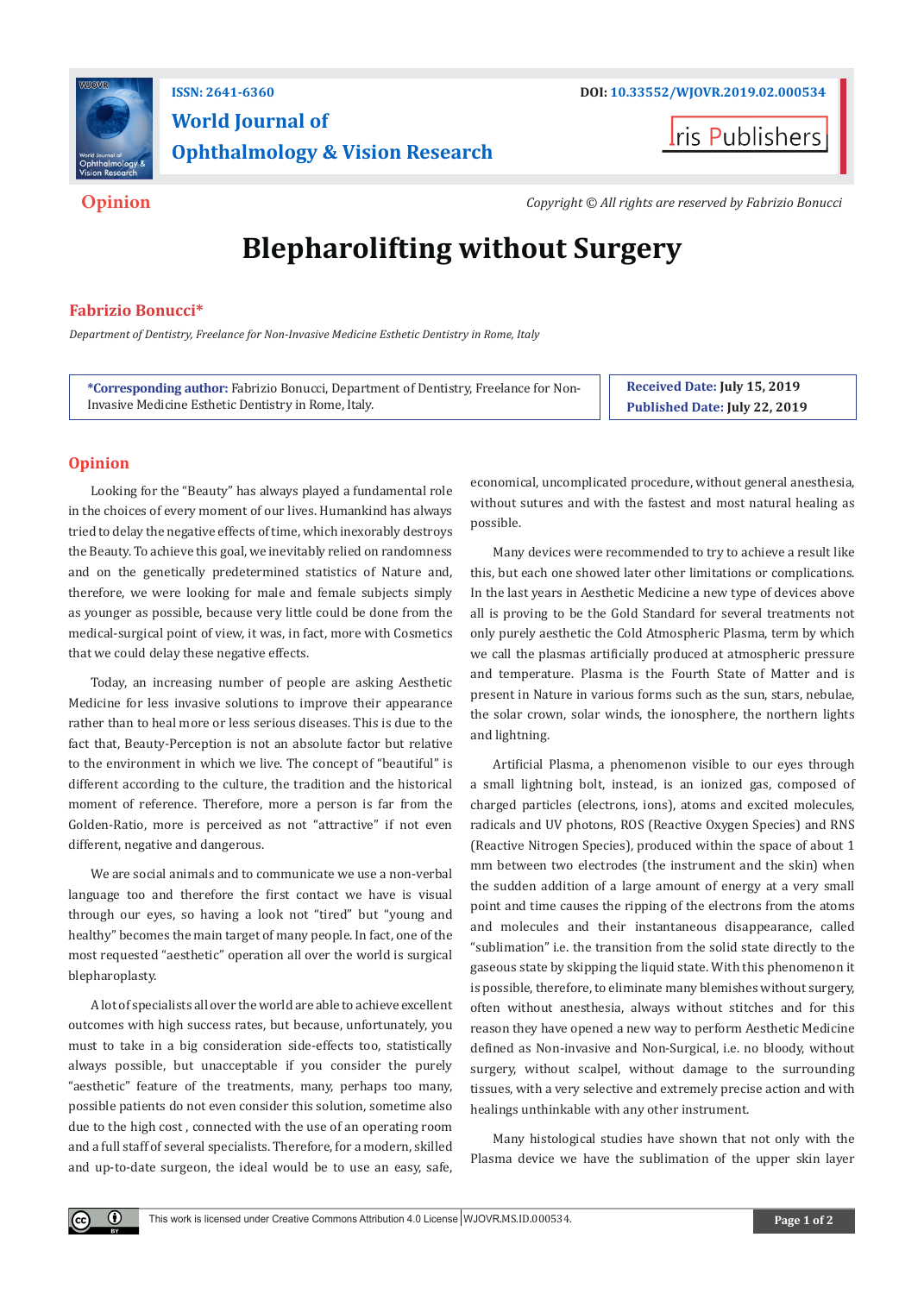

# **World Journal of Ophthalmology & Vision Research**

**I**ris Publishers

**Opinion** *Copyright © All rights are reserved by Fabrizio Bonucci*

# **Blepharolifting without Surgery**

## **Fabrizio Bonucci\***

*Department of Dentistry, Freelance for Non-Invasive Medicine Esthetic Dentistry in Rome, Italy*

**\*Corresponding author:** Fabrizio Bonucci, Department of Dentistry, Freelance for Non-Invasive Medicine Esthetic Dentistry in Rome, Italy.

**Received Date: July 15, 2019 Published Date: July 22, 2019**

## **Opinion**

 $\odot$ 

Looking for the "Beauty" has always played a fundamental role in the choices of every moment of our lives. Humankind has always tried to delay the negative effects of time, which inexorably destroys the Beauty. To achieve this goal, we inevitably relied on randomness and on the genetically predetermined statistics of Nature and, therefore, we were looking for male and female subjects simply as younger as possible, because very little could be done from the medical-surgical point of view, it was, in fact, more with Cosmetics that we could delay these negative effects.

Today, an increasing number of people are asking Aesthetic Medicine for less invasive solutions to improve their appearance rather than to heal more or less serious diseases. This is due to the fact that, Beauty-Perception is not an absolute factor but relative to the environment in which we live. The concept of "beautiful" is different according to the culture, the tradition and the historical moment of reference. Therefore, more a person is far from the Golden-Ratio, more is perceived as not "attractive" if not even different, negative and dangerous.

We are social animals and to communicate we use a non-verbal language too and therefore the first contact we have is visual through our eyes, so having a look not "tired" but "young and healthy" becomes the main target of many people. In fact, one of the most requested "aesthetic" operation all over the world is surgical blepharoplasty.

A lot of specialists all over the world are able to achieve excellent outcomes with high success rates, but because, unfortunately, you must to take in a big consideration side-effects too, statistically always possible, but unacceptable if you consider the purely "aesthetic" feature of the treatments, many, perhaps too many, possible patients do not even consider this solution, sometime also due to the high cost , connected with the use of an operating room and a full staff of several specialists. Therefore, for a modern, skilled and up-to-date surgeon, the ideal would be to use an easy, safe,

economical, uncomplicated procedure, without general anesthesia, without sutures and with the fastest and most natural healing as possible.

Many devices were recommended to try to achieve a result like this, but each one showed later other limitations or complications. In the last years in Aesthetic Medicine a new type of devices above all is proving to be the Gold Standard for several treatments not only purely aesthetic the Cold Atmospheric Plasma, term by which we call the plasmas artificially produced at atmospheric pressure and temperature. Plasma is the Fourth State of Matter and is present in Nature in various forms such as the sun, stars, nebulae, the solar crown, solar winds, the ionosphere, the northern lights and lightning.

Artificial Plasma, a phenomenon visible to our eyes through a small lightning bolt, instead, is an ionized gas, composed of charged particles (electrons, ions), atoms and excited molecules, radicals and UV photons, ROS (Reactive Oxygen Species) and RNS (Reactive Nitrogen Species), produced within the space of about 1 mm between two electrodes (the instrument and the skin) when the sudden addition of a large amount of energy at a very small point and time causes the ripping of the electrons from the atoms and molecules and their instantaneous disappearance, called "sublimation" i.e. the transition from the solid state directly to the gaseous state by skipping the liquid state. With this phenomenon it is possible, therefore, to eliminate many blemishes without surgery, often without anesthesia, always without stitches and for this reason they have opened a new way to perform Aesthetic Medicine defined as Non-invasive and Non-Surgical, i.e. no bloody, without surgery, without scalpel, without damage to the surrounding tissues, with a very selective and extremely precise action and with healings unthinkable with any other instrument.

Many histological studies have shown that not only with the Plasma device we have the sublimation of the upper skin layer